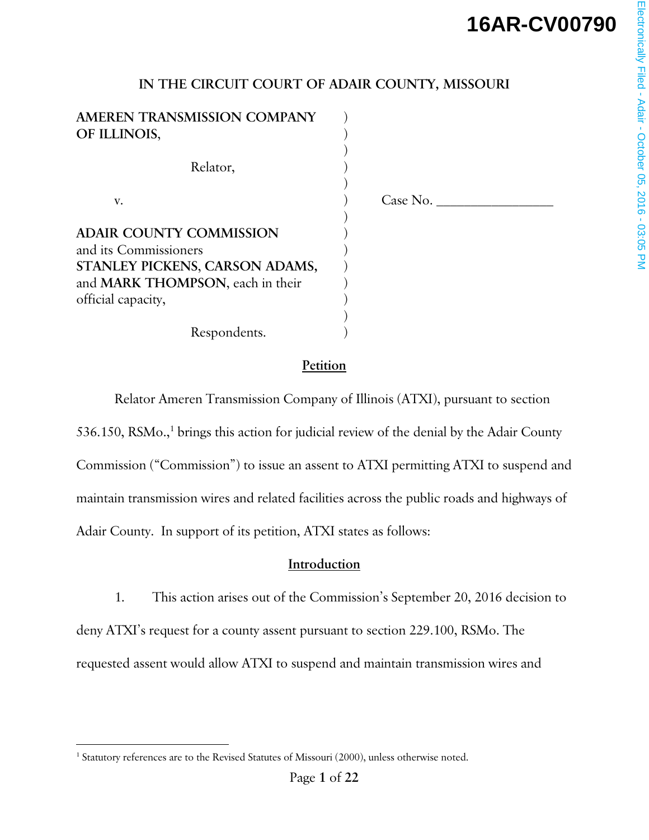# **16AR-CV00790**

## **IN THE CIRCUIT COURT OF ADAIR COUNTY, MISSOURI**

**AMEREN TRANSMISSION COMPANY** ) **OF ILLINOIS**, )  $)$ Relator,  $)$  v. ) Case No. \_\_\_\_\_\_\_\_\_\_\_\_\_\_\_\_\_  $)$ **ADAIR COUNTY COMMISSION** ) and its Commissioners ) **STANLEY PICKENS**, **CARSON ADAMS,** ) and **MARK THOMPSON**, each in their official capacity, )  $)$ 

Respondents.

#### **Petition**

Relator Ameren Transmission Company of Illinois (ATXI), pursuant to section

536.150, RSMo.,<sup>1</sup> brings this action for judicial review of the denial by the Adair County Commission ("Commission") to issue an assent to ATXI permitting ATXI to suspend and maintain transmission wires and related facilities across the public roads and highways of Adair County. In support of its petition, ATXI states as follows:

#### **Introduction**

 1. This action arises out of the Commission's September 20, 2016 decision to deny ATXI's request for a county assent pursuant to section 229.100, RSMo. The requested assent would allow ATXI to suspend and maintain transmission wires and

 $\overline{a}$ 

<sup>&</sup>lt;sup>1</sup> Statutory references are to the Revised Statutes of Missouri (2000), unless otherwise noted.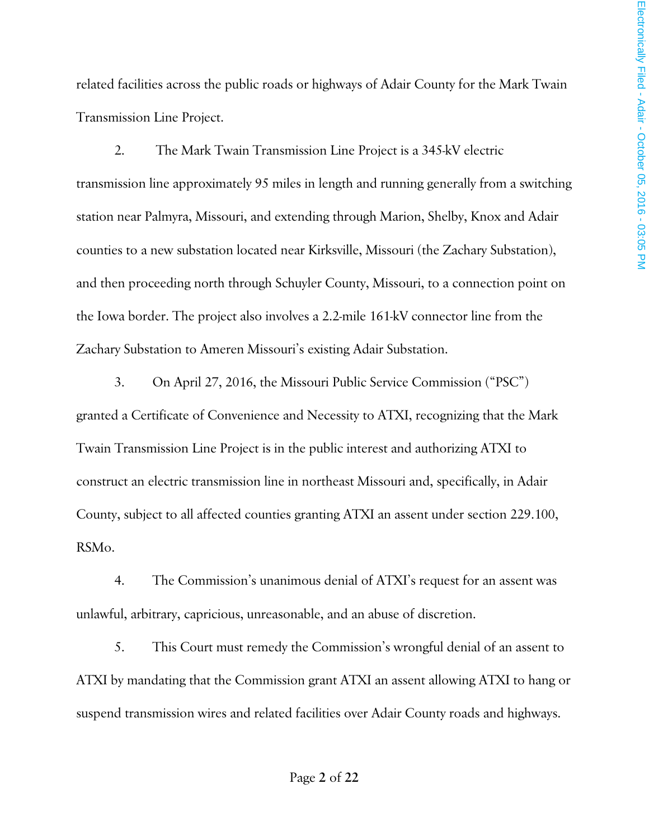related facilities across the public roads or highways of Adair County for the Mark Twain Transmission Line Project.

 2. The Mark Twain Transmission Line Project is a 345-kV electric transmission line approximately 95 miles in length and running generally from a switching station near Palmyra, Missouri, and extending through Marion, Shelby, Knox and Adair counties to a new substation located near Kirksville, Missouri (the Zachary Substation), and then proceeding north through Schuyler County, Missouri, to a connection point on the Iowa border. The project also involves a 2.2-mile 161-kV connector line from the Zachary Substation to Ameren Missouri's existing Adair Substation.

 3. On April 27, 2016, the Missouri Public Service Commission ("PSC") granted a Certificate of Convenience and Necessity to ATXI, recognizing that the Mark Twain Transmission Line Project is in the public interest and authorizing ATXI to construct an electric transmission line in northeast Missouri and, specifically, in Adair County, subject to all affected counties granting ATXI an assent under section 229.100, RSMo.

 4. The Commission's unanimous denial of ATXI's request for an assent was unlawful, arbitrary, capricious, unreasonable, and an abuse of discretion.

 5. This Court must remedy the Commission's wrongful denial of an assent to ATXI by mandating that the Commission grant ATXI an assent allowing ATXI to hang or suspend transmission wires and related facilities over Adair County roads and highways.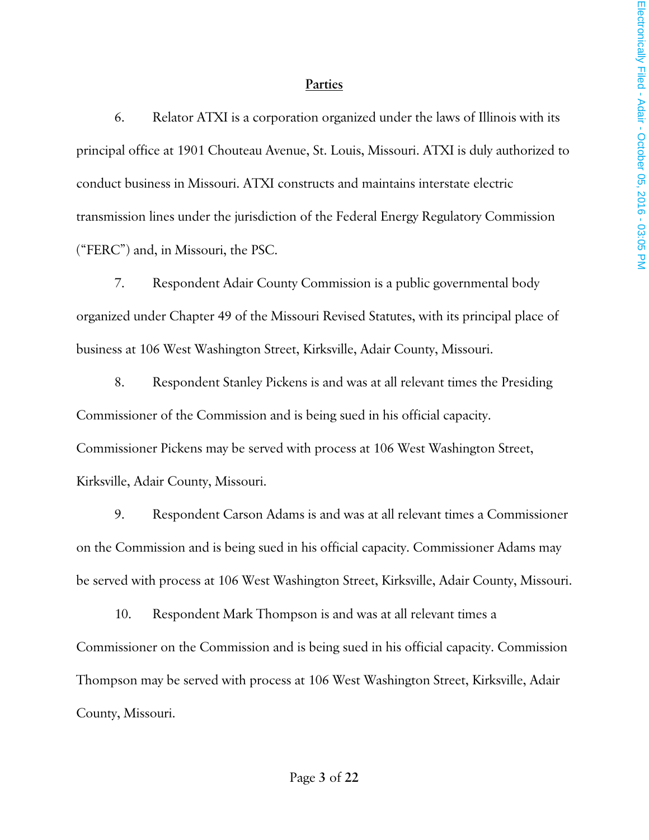#### **Parties**

6. Relator ATXI is a corporation organized under the laws of Illinois with its principal office at 1901 Chouteau Avenue, St. Louis, Missouri. ATXI is duly authorized to conduct business in Missouri. ATXI constructs and maintains interstate electric transmission lines under the jurisdiction of the Federal Energy Regulatory Commission ("FERC") and, in Missouri, the PSC.

7. Respondent Adair County Commission is a public governmental body organized under Chapter 49 of the Missouri Revised Statutes, with its principal place of business at 106 West Washington Street, Kirksville, Adair County, Missouri.

8. Respondent Stanley Pickens is and was at all relevant times the Presiding Commissioner of the Commission and is being sued in his official capacity. Commissioner Pickens may be served with process at 106 West Washington Street, Kirksville, Adair County, Missouri.

9. Respondent Carson Adams is and was at all relevant times a Commissioner on the Commission and is being sued in his official capacity. Commissioner Adams may be served with process at 106 West Washington Street, Kirksville, Adair County, Missouri.

10. Respondent Mark Thompson is and was at all relevant times a Commissioner on the Commission and is being sued in his official capacity. Commission Thompson may be served with process at 106 West Washington Street, Kirksville, Adair County, Missouri.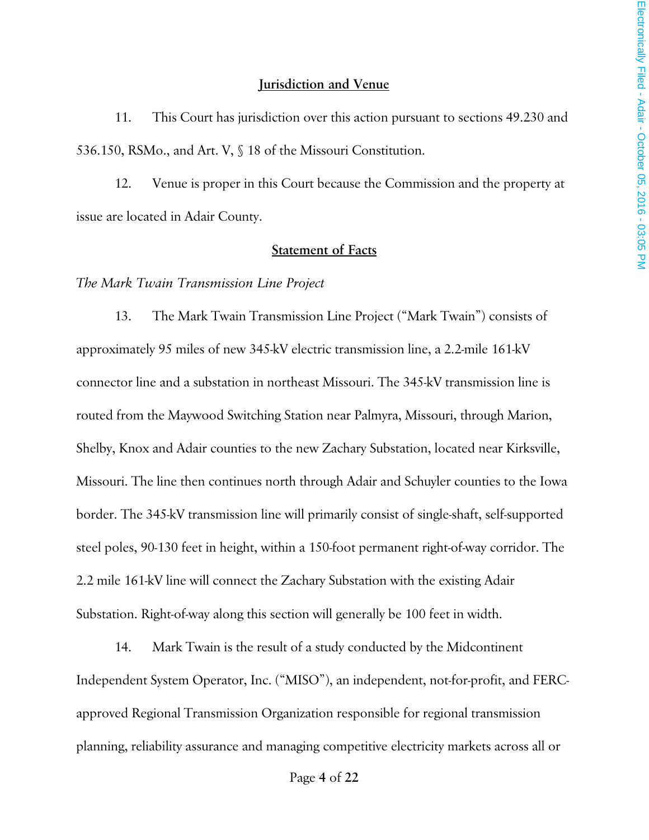#### **Jurisdiction and Venue**

11. This Court has jurisdiction over this action pursuant to sections 49.230 and 536.150, RSMo., and Art. V, § 18 of the Missouri Constitution.

12. Venue is proper in this Court because the Commission and the property at issue are located in Adair County.

#### **Statement of Facts**

*The Mark Twain Transmission Line Project*

13. The Mark Twain Transmission Line Project ("Mark Twain") consists of approximately 95 miles of new 345-kV electric transmission line, a 2.2-mile 161-kV connector line and a substation in northeast Missouri. The 345-kV transmission line is routed from the Maywood Switching Station near Palmyra, Missouri, through Marion, Shelby, Knox and Adair counties to the new Zachary Substation, located near Kirksville, Missouri. The line then continues north through Adair and Schuyler counties to the Iowa border. The 345-kV transmission line will primarily consist of single-shaft, self-supported steel poles, 90-130 feet in height, within a 150-foot permanent right-of-way corridor. The 2.2 mile 161-kV line will connect the Zachary Substation with the existing Adair Substation. Right-of-way along this section will generally be 100 feet in width.

14. Mark Twain is the result of a study conducted by the Midcontinent Independent System Operator, Inc. ("MISO"), an independent, not-for-profit, and FERCapproved Regional Transmission Organization responsible for regional transmission planning, reliability assurance and managing competitive electricity markets across all or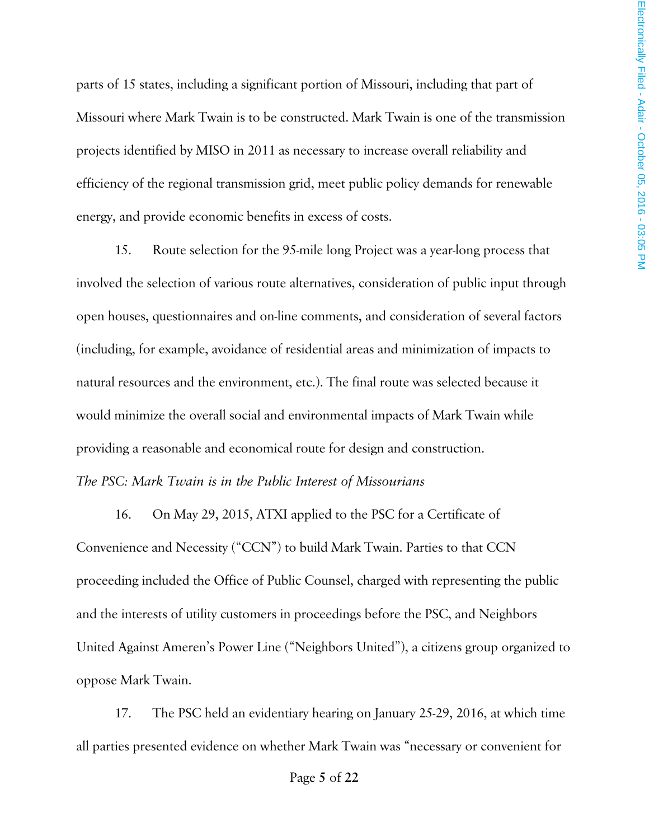parts of 15 states, including a significant portion of Missouri, including that part of Missouri where Mark Twain is to be constructed. Mark Twain is one of the transmission projects identified by MISO in 2011 as necessary to increase overall reliability and efficiency of the regional transmission grid, meet public policy demands for renewable energy, and provide economic benefits in excess of costs.

15. Route selection for the 95-mile long Project was a year-long process that involved the selection of various route alternatives, consideration of public input through open houses, questionnaires and on-line comments, and consideration of several factors (including, for example, avoidance of residential areas and minimization of impacts to natural resources and the environment, etc.). The final route was selected because it would minimize the overall social and environmental impacts of Mark Twain while providing a reasonable and economical route for design and construction.

#### *The PSC: Mark Twain is in the Public Interest of Missourians*

16. On May 29, 2015, ATXI applied to the PSC for a Certificate of Convenience and Necessity ("CCN") to build Mark Twain. Parties to that CCN proceeding included the Office of Public Counsel, charged with representing the public and the interests of utility customers in proceedings before the PSC, and Neighbors United Against Ameren's Power Line ("Neighbors United"), a citizens group organized to oppose Mark Twain.

17. The PSC held an evidentiary hearing on January 25-29, 2016, at which time all parties presented evidence on whether Mark Twain was "necessary or convenient for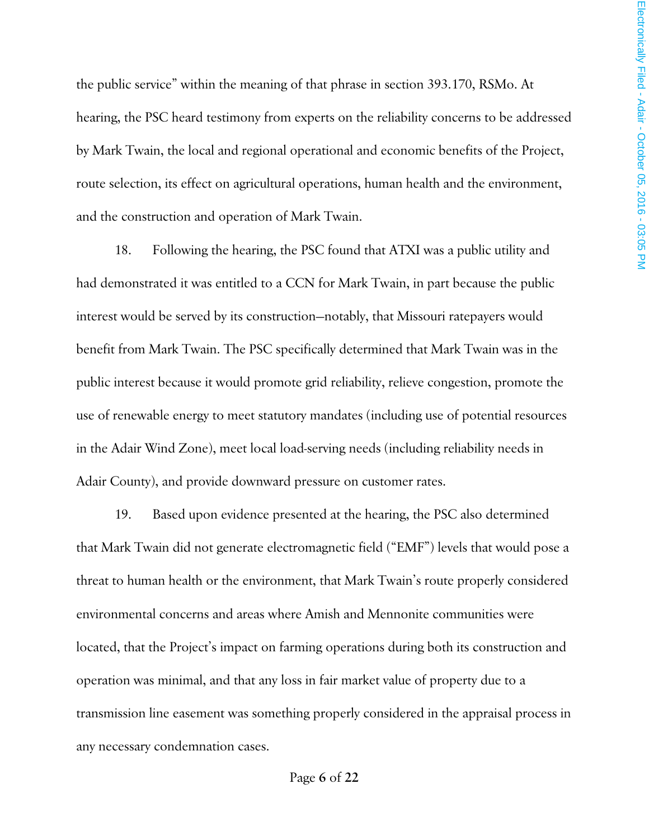the public service" within the meaning of that phrase in section 393.170, RSMo. At hearing, the PSC heard testimony from experts on the reliability concerns to be addressed by Mark Twain, the local and regional operational and economic benefits of the Project, route selection, its effect on agricultural operations, human health and the environment, and the construction and operation of Mark Twain.

18. Following the hearing, the PSC found that ATXI was a public utility and had demonstrated it was entitled to a CCN for Mark Twain, in part because the public interest would be served by its construction—notably, that Missouri ratepayers would benefit from Mark Twain. The PSC specifically determined that Mark Twain was in the public interest because it would promote grid reliability, relieve congestion, promote the use of renewable energy to meet statutory mandates (including use of potential resources in the Adair Wind Zone), meet local load-serving needs (including reliability needs in Adair County), and provide downward pressure on customer rates.

19. Based upon evidence presented at the hearing, the PSC also determined that Mark Twain did not generate electromagnetic field ("EMF") levels that would pose a threat to human health or the environment, that Mark Twain's route properly considered environmental concerns and areas where Amish and Mennonite communities were located, that the Project's impact on farming operations during both its construction and operation was minimal, and that any loss in fair market value of property due to a transmission line easement was something properly considered in the appraisal process in any necessary condemnation cases.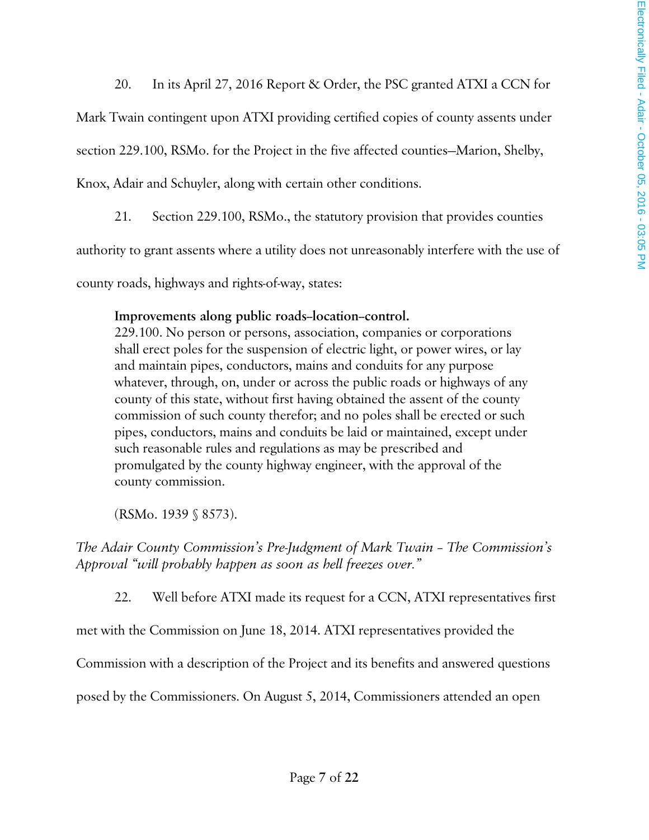20. In its April 27, 2016 Report & Order, the PSC granted ATXI a CCN for

Mark Twain contingent upon ATXI providing certified copies of county assents under

section 229.100, RSMo. for the Project in the five affected counties—Marion, Shelby,

Knox, Adair and Schuyler, along with certain other conditions.

21. Section 229.100, RSMo., the statutory provision that provides counties

authority to grant assents where a utility does not unreasonably interfere with the use of

county roads, highways and rights-of-way, states:

#### Improvements along public roads-location-control.

229.100. No person or persons, association, companies or corporations shall erect poles for the suspension of electric light, or power wires, or lay and maintain pipes, conductors, mains and conduits for any purpose whatever, through, on, under or across the public roads or highways of any county of this state, without first having obtained the assent of the county commission of such county therefor; and no poles shall be erected or such pipes, conductors, mains and conduits be laid or maintained, except under such reasonable rules and regulations as may be prescribed and promulgated by the county highway engineer, with the approval of the county commission.

(RSMo. 1939 § 8573).

*The Adair County Commission's Pre-Judgment of Mark Twain – The Commission's Approval "will probably happen as soon as hell freezes over."* 

22. Well before ATXI made its request for a CCN, ATXI representatives first

met with the Commission on June 18, 2014. ATXI representatives provided the

Commission with a description of the Project and its benefits and answered questions

posed by the Commissioners. On August 5, 2014, Commissioners attended an open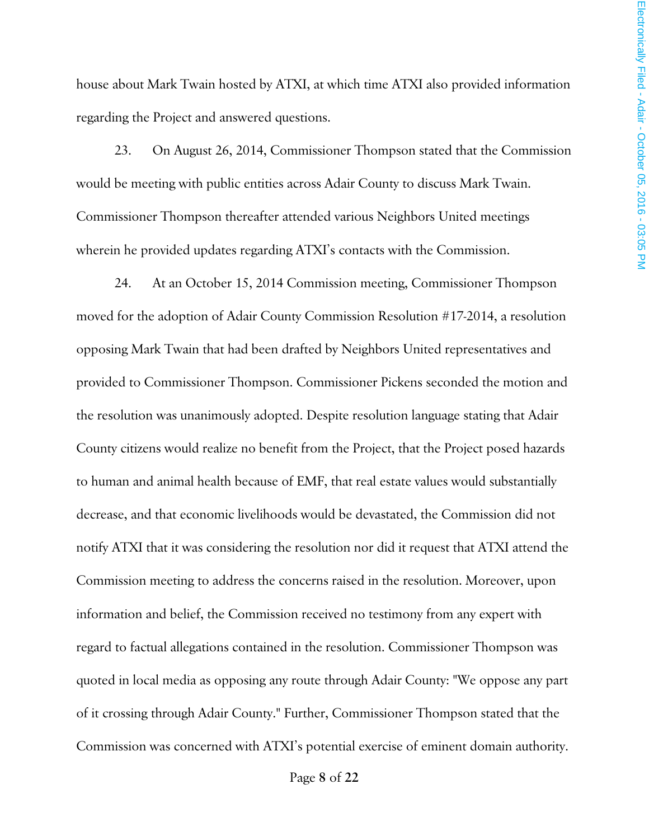house about Mark Twain hosted by ATXI, at which time ATXI also provided information regarding the Project and answered questions.

23. On August 26, 2014, Commissioner Thompson stated that the Commission would be meeting with public entities across Adair County to discuss Mark Twain. Commissioner Thompson thereafter attended various Neighbors United meetings wherein he provided updates regarding ATXI's contacts with the Commission.

24. At an October 15, 2014 Commission meeting, Commissioner Thompson moved for the adoption of Adair County Commission Resolution #17-2014, a resolution opposing Mark Twain that had been drafted by Neighbors United representatives and provided to Commissioner Thompson. Commissioner Pickens seconded the motion and the resolution was unanimously adopted. Despite resolution language stating that Adair County citizens would realize no benefit from the Project, that the Project posed hazards to human and animal health because of EMF, that real estate values would substantially decrease, and that economic livelihoods would be devastated, the Commission did not notify ATXI that it was considering the resolution nor did it request that ATXI attend the Commission meeting to address the concerns raised in the resolution. Moreover, upon information and belief, the Commission received no testimony from any expert with regard to factual allegations contained in the resolution. Commissioner Thompson was quoted in local media as opposing any route through Adair County: "We oppose any part of it crossing through Adair County." Further, Commissioner Thompson stated that the Commission was concerned with ATXI's potential exercise of eminent domain authority.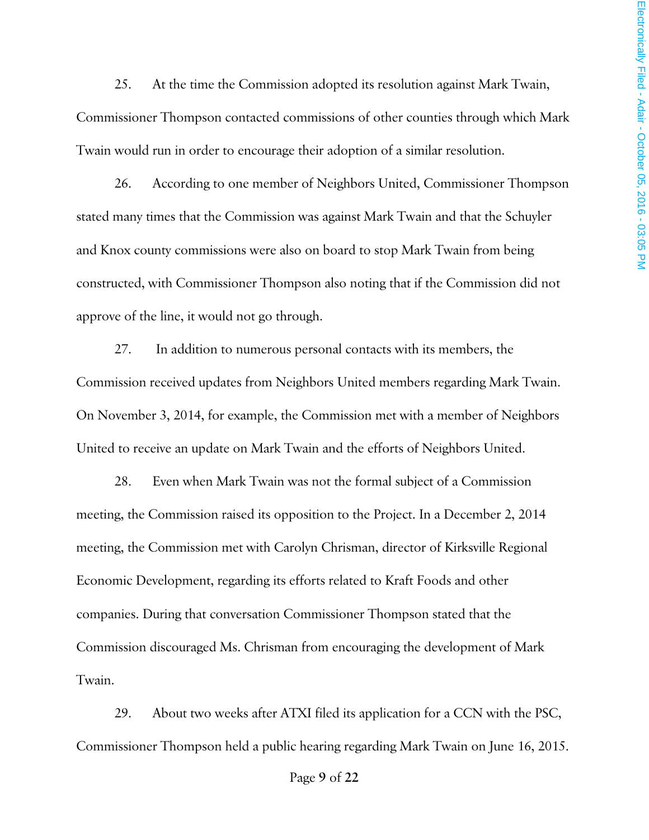25. At the time the Commission adopted its resolution against Mark Twain, Commissioner Thompson contacted commissions of other counties through which Mark Twain would run in order to encourage their adoption of a similar resolution.

26. According to one member of Neighbors United, Commissioner Thompson stated many times that the Commission was against Mark Twain and that the Schuyler and Knox county commissions were also on board to stop Mark Twain from being constructed, with Commissioner Thompson also noting that if the Commission did not approve of the line, it would not go through.

27. In addition to numerous personal contacts with its members, the Commission received updates from Neighbors United members regarding Mark Twain. On November 3, 2014, for example, the Commission met with a member of Neighbors United to receive an update on Mark Twain and the efforts of Neighbors United.

28. Even when Mark Twain was not the formal subject of a Commission meeting, the Commission raised its opposition to the Project. In a December 2, 2014 meeting, the Commission met with Carolyn Chrisman, director of Kirksville Regional Economic Development, regarding its efforts related to Kraft Foods and other companies. During that conversation Commissioner Thompson stated that the Commission discouraged Ms. Chrisman from encouraging the development of Mark Twain.

29. About two weeks after ATXI filed its application for a CCN with the PSC, Commissioner Thompson held a public hearing regarding Mark Twain on June 16, 2015.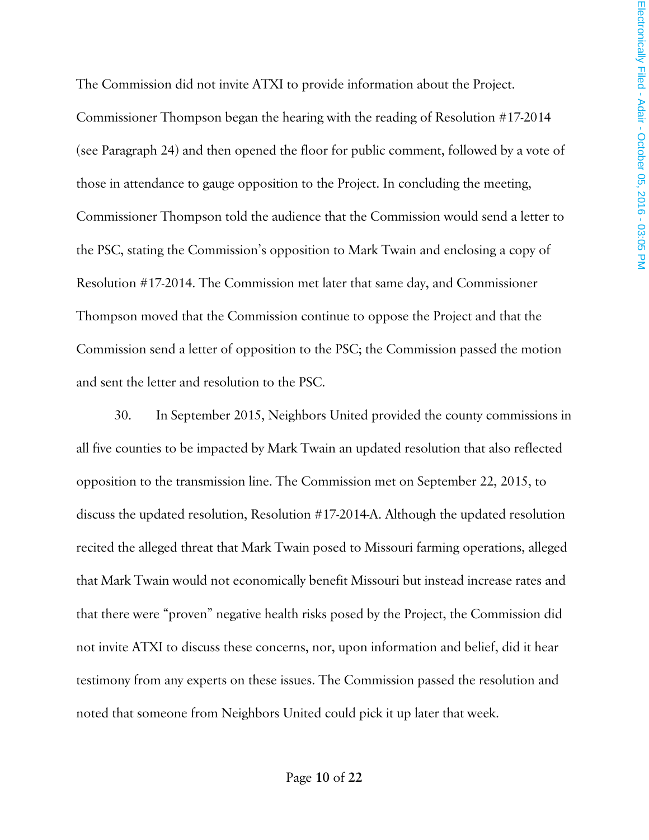The Commission did not invite ATXI to provide information about the Project. Commissioner Thompson began the hearing with the reading of Resolution #17-2014 (see Paragraph 24) and then opened the floor for public comment, followed by a vote of those in attendance to gauge opposition to the Project. In concluding the meeting, Commissioner Thompson told the audience that the Commission would send a letter to the PSC, stating the Commission's opposition to Mark Twain and enclosing a copy of Resolution #17-2014. The Commission met later that same day, and Commissioner Thompson moved that the Commission continue to oppose the Project and that the Commission send a letter of opposition to the PSC; the Commission passed the motion and sent the letter and resolution to the PSC.

30. In September 2015, Neighbors United provided the county commissions in all five counties to be impacted by Mark Twain an updated resolution that also reflected opposition to the transmission line. The Commission met on September 22, 2015, to discuss the updated resolution, Resolution #17-2014-A. Although the updated resolution recited the alleged threat that Mark Twain posed to Missouri farming operations, alleged that Mark Twain would not economically benefit Missouri but instead increase rates and that there were "proven" negative health risks posed by the Project, the Commission did not invite ATXI to discuss these concerns, nor, upon information and belief, did it hear testimony from any experts on these issues. The Commission passed the resolution and noted that someone from Neighbors United could pick it up later that week.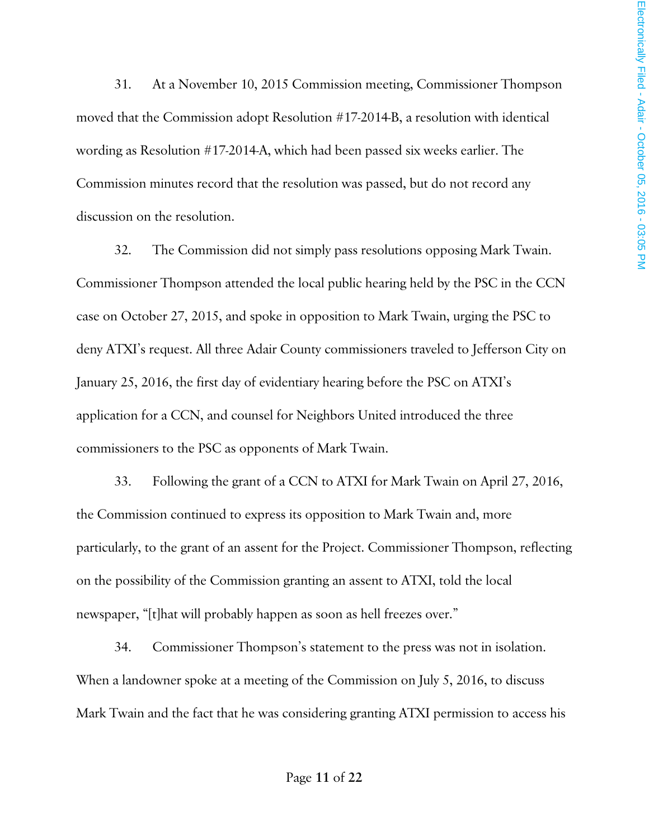31. At a November 10, 2015 Commission meeting, Commissioner Thompson moved that the Commission adopt Resolution #17-2014-B, a resolution with identical wording as Resolution #17-2014-A, which had been passed six weeks earlier. The Commission minutes record that the resolution was passed, but do not record any discussion on the resolution.

32. The Commission did not simply pass resolutions opposing Mark Twain. Commissioner Thompson attended the local public hearing held by the PSC in the CCN case on October 27, 2015, and spoke in opposition to Mark Twain, urging the PSC to deny ATXI's request. All three Adair County commissioners traveled to Jefferson City on January 25, 2016, the first day of evidentiary hearing before the PSC on ATXI's application for a CCN, and counsel for Neighbors United introduced the three commissioners to the PSC as opponents of Mark Twain.

33. Following the grant of a CCN to ATXI for Mark Twain on April 27, 2016, the Commission continued to express its opposition to Mark Twain and, more particularly, to the grant of an assent for the Project. Commissioner Thompson, reflecting on the possibility of the Commission granting an assent to ATXI, told the local newspaper, "[t]hat will probably happen as soon as hell freezes over."

34. Commissioner Thompson's statement to the press was not in isolation. When a landowner spoke at a meeting of the Commission on July 5, 2016, to discuss Mark Twain and the fact that he was considering granting ATXI permission to access his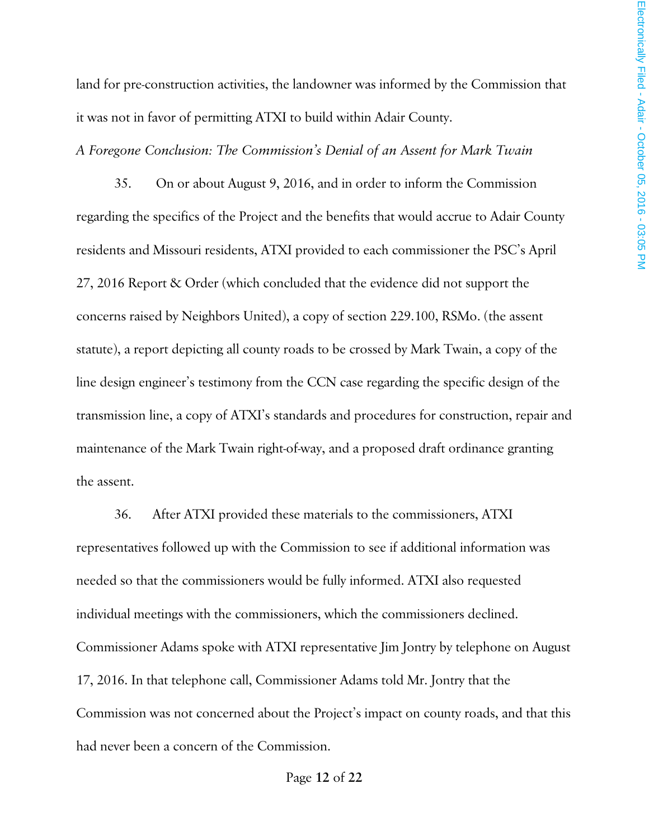land for pre-construction activities, the landowner was informed by the Commission that it was not in favor of permitting ATXI to build within Adair County.

*A Foregone Conclusion: The Commission's Denial of an Assent for Mark Twain* 

35. On or about August 9, 2016, and in order to inform the Commission regarding the specifics of the Project and the benefits that would accrue to Adair County residents and Missouri residents, ATXI provided to each commissioner the PSC's April 27, 2016 Report & Order (which concluded that the evidence did not support the concerns raised by Neighbors United), a copy of section 229.100, RSMo. (the assent statute), a report depicting all county roads to be crossed by Mark Twain, a copy of the line design engineer's testimony from the CCN case regarding the specific design of the transmission line, a copy of ATXI's standards and procedures for construction, repair and maintenance of the Mark Twain right-of-way, and a proposed draft ordinance granting the assent.

36. After ATXI provided these materials to the commissioners, ATXI representatives followed up with the Commission to see if additional information was needed so that the commissioners would be fully informed. ATXI also requested individual meetings with the commissioners, which the commissioners declined. Commissioner Adams spoke with ATXI representative Jim Jontry by telephone on August 17, 2016. In that telephone call, Commissioner Adams told Mr. Jontry that the Commission was not concerned about the Project's impact on county roads, and that this had never been a concern of the Commission.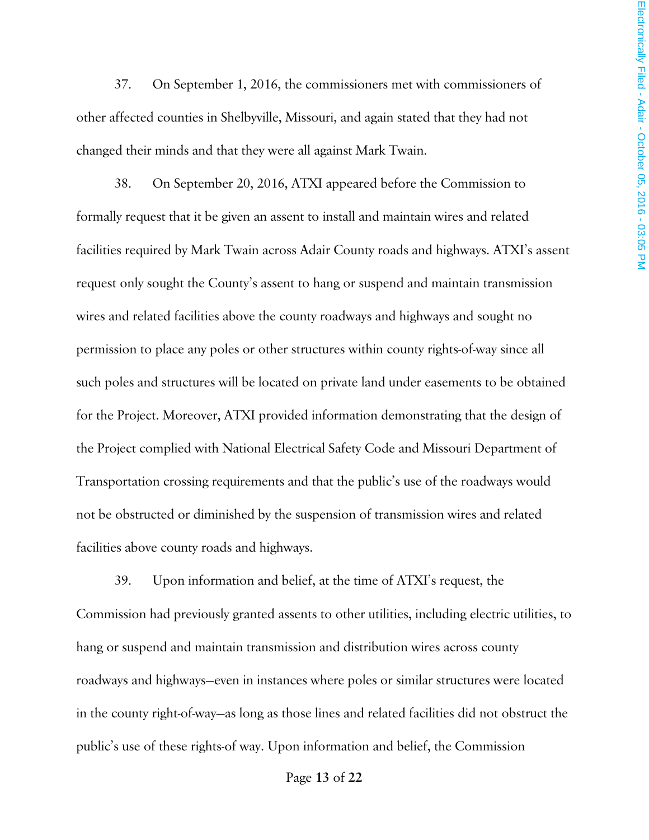37. On September 1, 2016, the commissioners met with commissioners of other affected counties in Shelbyville, Missouri, and again stated that they had not changed their minds and that they were all against Mark Twain.

38. On September 20, 2016, ATXI appeared before the Commission to formally request that it be given an assent to install and maintain wires and related facilities required by Mark Twain across Adair County roads and highways. ATXI's assent request only sought the County's assent to hang or suspend and maintain transmission wires and related facilities above the county roadways and highways and sought no permission to place any poles or other structures within county rights-of-way since all such poles and structures will be located on private land under easements to be obtained for the Project. Moreover, ATXI provided information demonstrating that the design of the Project complied with National Electrical Safety Code and Missouri Department of Transportation crossing requirements and that the public's use of the roadways would not be obstructed or diminished by the suspension of transmission wires and related facilities above county roads and highways.

39. Upon information and belief, at the time of ATXI's request, the Commission had previously granted assents to other utilities, including electric utilities, to hang or suspend and maintain transmission and distribution wires across county roadways and highways—even in instances where poles or similar structures were located in the county right-of-way—as long as those lines and related facilities did not obstruct the public's use of these rights-of way. Upon information and belief, the Commission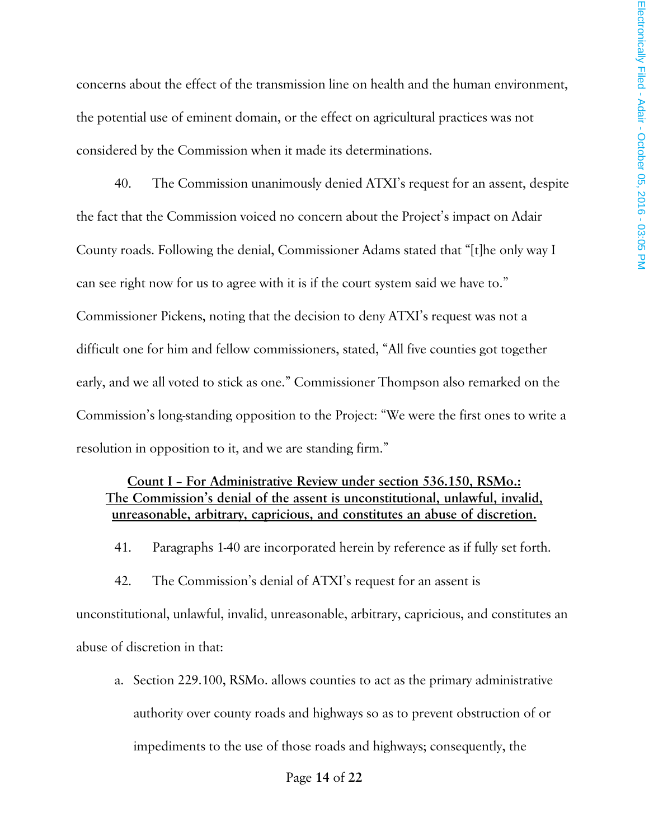concerns about the effect of the transmission line on health and the human environment, the potential use of eminent domain, or the effect on agricultural practices was not considered by the Commission when it made its determinations.

40. The Commission unanimously denied ATXI's request for an assent, despite the fact that the Commission voiced no concern about the Project's impact on Adair County roads. Following the denial, Commissioner Adams stated that "[t]he only way I can see right now for us to agree with it is if the court system said we have to." Commissioner Pickens, noting that the decision to deny ATXI's request was not a difficult one for him and fellow commissioners, stated, "All five counties got together early, and we all voted to stick as one." Commissioner Thompson also remarked on the Commission's long-standing opposition to the Project: "We were the first ones to write a resolution in opposition to it, and we are standing firm."

## **Count I – For Administrative Review under section 536.150, RSMo.: The Commission's denial of the assent is unconstitutional, unlawful, invalid, unreasonable, arbitrary, capricious, and constitutes an abuse of discretion.**

41. Paragraphs 1-40 are incorporated herein by reference as if fully set forth.

42. The Commission's denial of ATXI's request for an assent is unconstitutional, unlawful, invalid, unreasonable, arbitrary, capricious, and constitutes an abuse of discretion in that:

a. Section 229.100, RSMo. allows counties to act as the primary administrative authority over county roads and highways so as to prevent obstruction of or impediments to the use of those roads and highways; consequently, the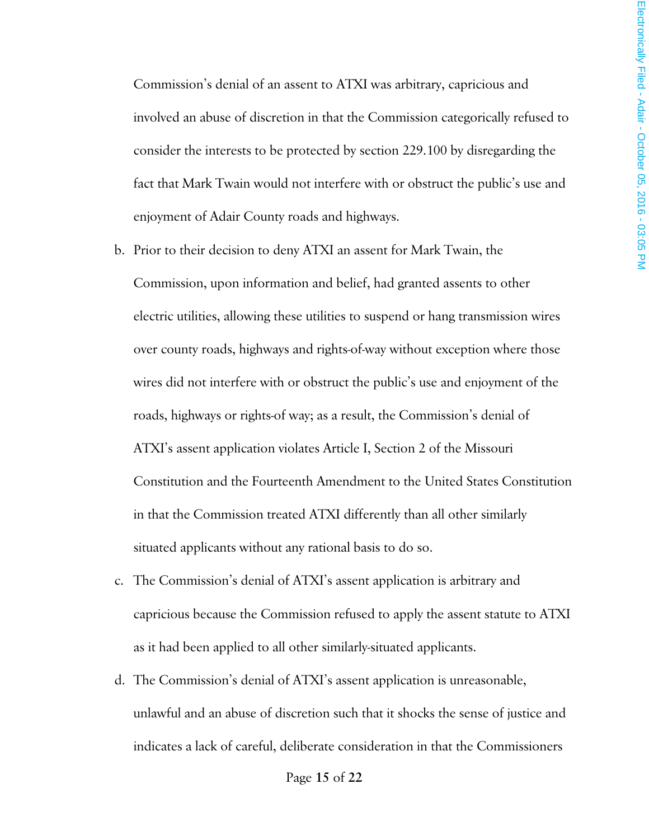Commission's denial of an assent to ATXI was arbitrary, capricious and involved an abuse of discretion in that the Commission categorically refused to consider the interests to be protected by section 229.100 by disregarding the fact that Mark Twain would not interfere with or obstruct the public's use and enjoyment of Adair County roads and highways.

- b. Prior to their decision to deny ATXI an assent for Mark Twain, the Commission, upon information and belief, had granted assents to other electric utilities, allowing these utilities to suspend or hang transmission wires over county roads, highways and rights-of-way without exception where those wires did not interfere with or obstruct the public's use and enjoyment of the roads, highways or rights-of way; as a result, the Commission's denial of ATXI's assent application violates Article I, Section 2 of the Missouri Constitution and the Fourteenth Amendment to the United States Constitution in that the Commission treated ATXI differently than all other similarly situated applicants without any rational basis to do so.
- c. The Commission's denial of ATXI's assent application is arbitrary and capricious because the Commission refused to apply the assent statute to ATXI as it had been applied to all other similarly-situated applicants.
- d. The Commission's denial of ATXI's assent application is unreasonable, unlawful and an abuse of discretion such that it shocks the sense of justice and indicates a lack of careful, deliberate consideration in that the Commissioners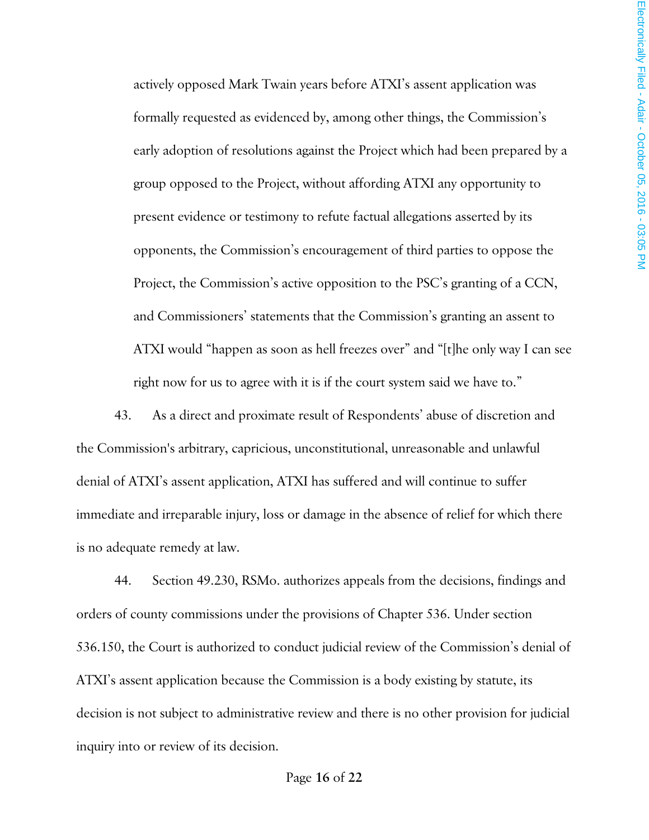actively opposed Mark Twain years before ATXI's assent application was formally requested as evidenced by, among other things, the Commission's early adoption of resolutions against the Project which had been prepared by a group opposed to the Project, without affording ATXI any opportunity to present evidence or testimony to refute factual allegations asserted by its opponents, the Commission's encouragement of third parties to oppose the Project, the Commission's active opposition to the PSC's granting of a CCN, and Commissioners' statements that the Commission's granting an assent to ATXI would "happen as soon as hell freezes over" and "[t]he only way I can see right now for us to agree with it is if the court system said we have to."

43. As a direct and proximate result of Respondents' abuse of discretion and the Commission's arbitrary, capricious, unconstitutional, unreasonable and unlawful denial of ATXI's assent application, ATXI has suffered and will continue to suffer immediate and irreparable injury, loss or damage in the absence of relief for which there is no adequate remedy at law.

44. Section 49.230, RSMo. authorizes appeals from the decisions, findings and orders of county commissions under the provisions of Chapter 536. Under section 536.150, the Court is authorized to conduct judicial review of the Commission's denial of ATXI's assent application because the Commission is a body existing by statute, its decision is not subject to administrative review and there is no other provision for judicial inquiry into or review of its decision.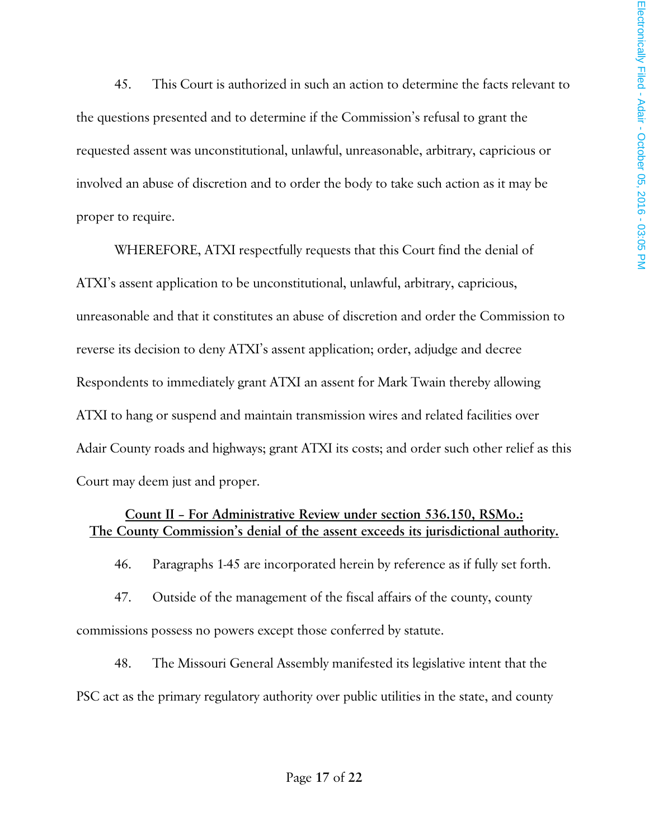45. This Court is authorized in such an action to determine the facts relevant to the questions presented and to determine if the Commission's refusal to grant the requested assent was unconstitutional, unlawful, unreasonable, arbitrary, capricious or involved an abuse of discretion and to order the body to take such action as it may be proper to require.

WHEREFORE, ATXI respectfully requests that this Court find the denial of ATXI's assent application to be unconstitutional, unlawful, arbitrary, capricious, unreasonable and that it constitutes an abuse of discretion and order the Commission to reverse its decision to deny ATXI's assent application; order, adjudge and decree Respondents to immediately grant ATXI an assent for Mark Twain thereby allowing ATXI to hang or suspend and maintain transmission wires and related facilities over Adair County roads and highways; grant ATXI its costs; and order such other relief as this Court may deem just and proper.

## **Count II – For Administrative Review under section 536.150, RSMo.: The County Commission's denial of the assent exceeds its jurisdictional authority.**

46. Paragraphs 1-45 are incorporated herein by reference as if fully set forth.

47. Outside of the management of the fiscal affairs of the county, county commissions possess no powers except those conferred by statute.

48. The Missouri General Assembly manifested its legislative intent that the PSC act as the primary regulatory authority over public utilities in the state, and county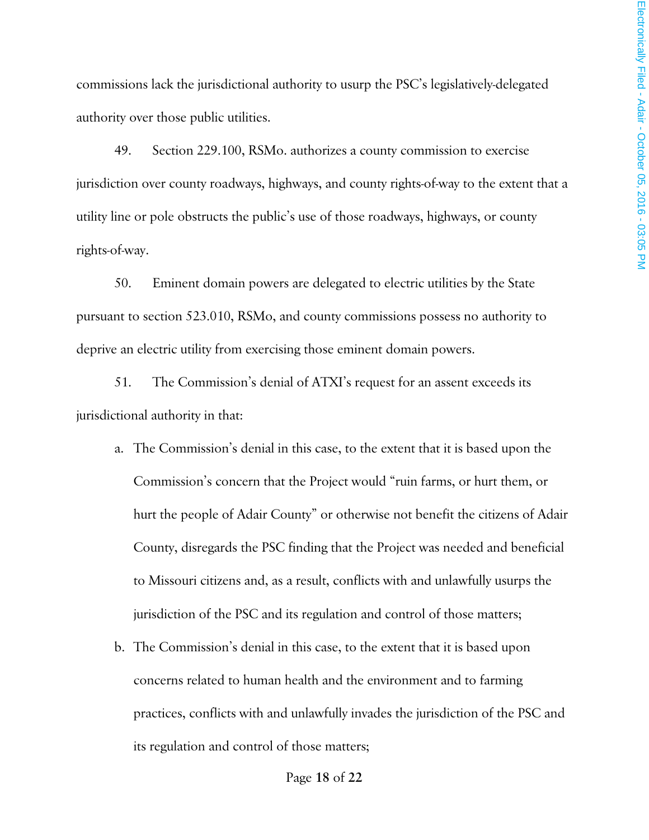commissions lack the jurisdictional authority to usurp the PSC's legislatively-delegated authority over those public utilities.

49. Section 229.100, RSMo. authorizes a county commission to exercise jurisdiction over county roadways, highways, and county rights-of-way to the extent that a utility line or pole obstructs the public's use of those roadways, highways, or county rights-of-way.

50. Eminent domain powers are delegated to electric utilities by the State pursuant to section 523.010, RSMo, and county commissions possess no authority to deprive an electric utility from exercising those eminent domain powers.

51. The Commission's denial of ATXI's request for an assent exceeds its jurisdictional authority in that:

- a. The Commission's denial in this case, to the extent that it is based upon the Commission's concern that the Project would "ruin farms, or hurt them, or hurt the people of Adair County" or otherwise not benefit the citizens of Adair County, disregards the PSC finding that the Project was needed and beneficial to Missouri citizens and, as a result, conflicts with and unlawfully usurps the jurisdiction of the PSC and its regulation and control of those matters;
- b. The Commission's denial in this case, to the extent that it is based upon concerns related to human health and the environment and to farming practices, conflicts with and unlawfully invades the jurisdiction of the PSC and its regulation and control of those matters;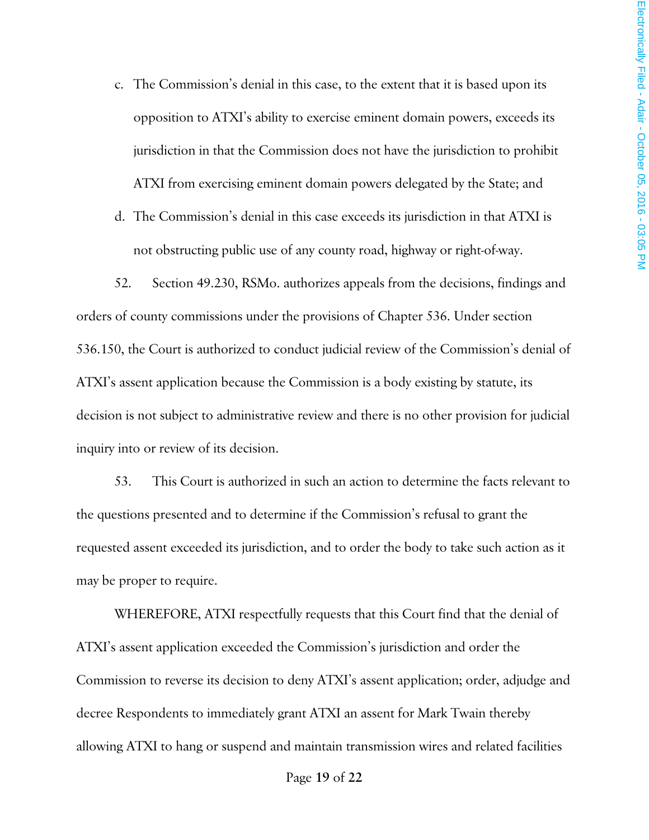- c. The Commission's denial in this case, to the extent that it is based upon its opposition to ATXI's ability to exercise eminent domain powers, exceeds its jurisdiction in that the Commission does not have the jurisdiction to prohibit ATXI from exercising eminent domain powers delegated by the State; and
- d. The Commission's denial in this case exceeds its jurisdiction in that ATXI is not obstructing public use of any county road, highway or right-of-way.

52. Section 49.230, RSMo. authorizes appeals from the decisions, findings and orders of county commissions under the provisions of Chapter 536. Under section 536.150, the Court is authorized to conduct judicial review of the Commission's denial of ATXI's assent application because the Commission is a body existing by statute, its decision is not subject to administrative review and there is no other provision for judicial inquiry into or review of its decision.

53. This Court is authorized in such an action to determine the facts relevant to the questions presented and to determine if the Commission's refusal to grant the requested assent exceeded its jurisdiction, and to order the body to take such action as it may be proper to require.

WHEREFORE, ATXI respectfully requests that this Court find that the denial of ATXI's assent application exceeded the Commission's jurisdiction and order the Commission to reverse its decision to deny ATXI's assent application; order, adjudge and decree Respondents to immediately grant ATXI an assent for Mark Twain thereby allowing ATXI to hang or suspend and maintain transmission wires and related facilities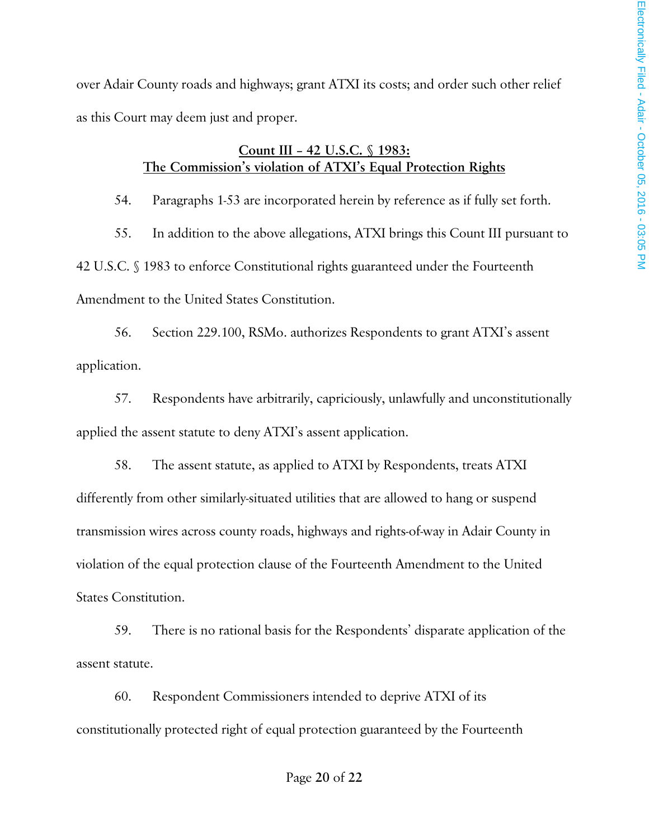over Adair County roads and highways; grant ATXI its costs; and order such other relief as this Court may deem just and proper.

## **Count III – 42 U.S.C. § 1983: The Commission's violation of ATXI's Equal Protection Rights**

54. Paragraphs 1-53 are incorporated herein by reference as if fully set forth.

55. In addition to the above allegations, ATXI brings this Count III pursuant to 42 U.S.C. § 1983 to enforce Constitutional rights guaranteed under the Fourteenth Amendment to the United States Constitution.

56. Section 229.100, RSMo. authorizes Respondents to grant ATXI's assent application.

57. Respondents have arbitrarily, capriciously, unlawfully and unconstitutionally applied the assent statute to deny ATXI's assent application.

58. The assent statute, as applied to ATXI by Respondents, treats ATXI differently from other similarly-situated utilities that are allowed to hang or suspend transmission wires across county roads, highways and rights-of-way in Adair County in violation of the equal protection clause of the Fourteenth Amendment to the United States Constitution.

59. There is no rational basis for the Respondents' disparate application of the assent statute.

60. Respondent Commissioners intended to deprive ATXI of its constitutionally protected right of equal protection guaranteed by the Fourteenth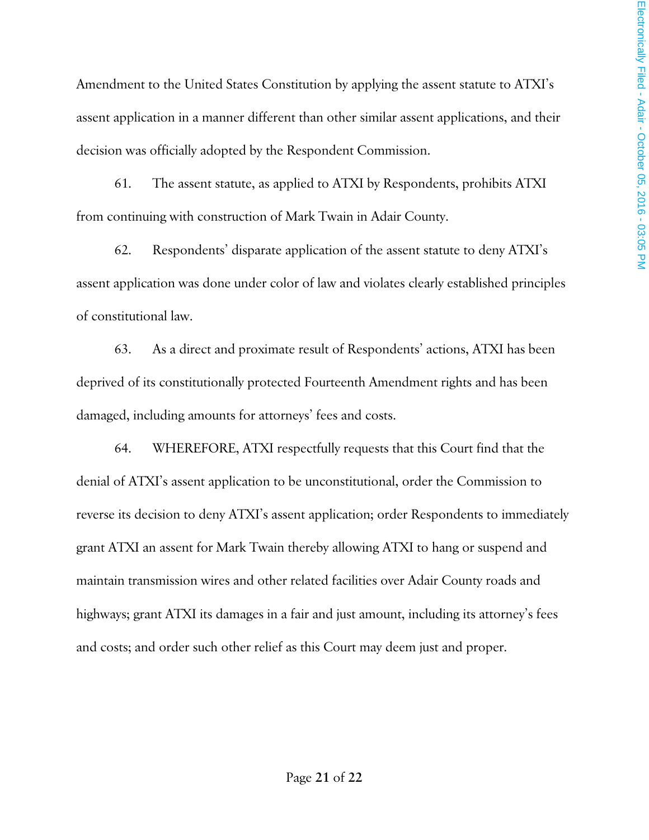Amendment to the United States Constitution by applying the assent statute to ATXI's assent application in a manner different than other similar assent applications, and their decision was officially adopted by the Respondent Commission.

61. The assent statute, as applied to ATXI by Respondents, prohibits ATXI from continuing with construction of Mark Twain in Adair County.

62. Respondents' disparate application of the assent statute to deny ATXI's assent application was done under color of law and violates clearly established principles of constitutional law.

63. As a direct and proximate result of Respondents' actions, ATXI has been deprived of its constitutionally protected Fourteenth Amendment rights and has been damaged, including amounts for attorneys' fees and costs.

64. WHEREFORE, ATXI respectfully requests that this Court find that the denial of ATXI's assent application to be unconstitutional, order the Commission to reverse its decision to deny ATXI's assent application; order Respondents to immediately grant ATXI an assent for Mark Twain thereby allowing ATXI to hang or suspend and maintain transmission wires and other related facilities over Adair County roads and highways; grant ATXI its damages in a fair and just amount, including its attorney's fees and costs; and order such other relief as this Court may deem just and proper.